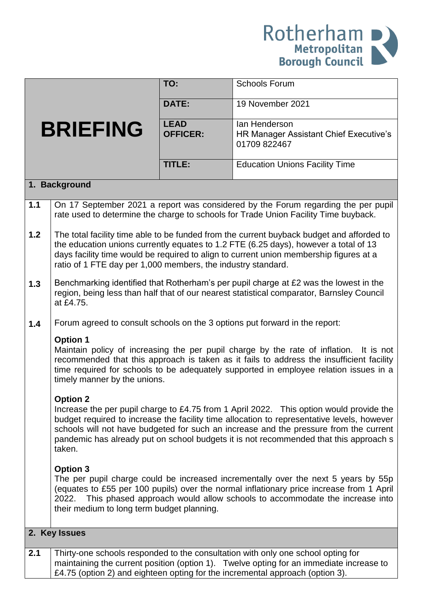

|               |                                                                                                                                                                                                                                                                                                                                                                                   | TO:                            | <b>Schools Forum</b>                                                                                                                                                                                                                                         |  |
|---------------|-----------------------------------------------------------------------------------------------------------------------------------------------------------------------------------------------------------------------------------------------------------------------------------------------------------------------------------------------------------------------------------|--------------------------------|--------------------------------------------------------------------------------------------------------------------------------------------------------------------------------------------------------------------------------------------------------------|--|
|               |                                                                                                                                                                                                                                                                                                                                                                                   | <b>DATE:</b>                   | 19 November 2021                                                                                                                                                                                                                                             |  |
|               |                                                                                                                                                                                                                                                                                                                                                                                   |                                |                                                                                                                                                                                                                                                              |  |
|               | <b>BRIEFING</b>                                                                                                                                                                                                                                                                                                                                                                   | <b>LEAD</b><br><b>OFFICER:</b> | lan Henderson<br>HR Manager Assistant Chief Executive's<br>01709 822467                                                                                                                                                                                      |  |
|               |                                                                                                                                                                                                                                                                                                                                                                                   | <b>TITLE:</b>                  | <b>Education Unions Facility Time</b>                                                                                                                                                                                                                        |  |
| 1. Background |                                                                                                                                                                                                                                                                                                                                                                                   |                                |                                                                                                                                                                                                                                                              |  |
| 1.1           |                                                                                                                                                                                                                                                                                                                                                                                   |                                | On 17 September 2021 a report was considered by the Forum regarding the per pupil<br>rate used to determine the charge to schools for Trade Union Facility Time buyback.                                                                                     |  |
| 1.2           | The total facility time able to be funded from the current buyback budget and afforded to<br>the education unions currently equates to 1.2 FTE (6.25 days), however a total of 13<br>days facility time would be required to align to current union membership figures at a<br>ratio of 1 FTE day per 1,000 members, the industry standard.                                       |                                |                                                                                                                                                                                                                                                              |  |
| 1.3           | Benchmarking identified that Rotherham's per pupil charge at £2 was the lowest in the<br>region, being less than half that of our nearest statistical comparator, Barnsley Council<br>at £4.75.                                                                                                                                                                                   |                                |                                                                                                                                                                                                                                                              |  |
| 1.4           | Forum agreed to consult schools on the 3 options put forward in the report:                                                                                                                                                                                                                                                                                                       |                                |                                                                                                                                                                                                                                                              |  |
|               | <b>Option 1</b><br>Maintain policy of increasing the per pupil charge by the rate of inflation. It is not<br>recommended that this approach is taken as it fails to address the insufficient facility<br>time required for schools to be adequately supported in employee relation issues in a<br>timely manner by the unions.                                                    |                                |                                                                                                                                                                                                                                                              |  |
|               | <b>Option 2</b>                                                                                                                                                                                                                                                                                                                                                                   |                                |                                                                                                                                                                                                                                                              |  |
|               | Increase the per pupil charge to £4.75 from 1 April 2022. This option would provide the<br>budget required to increase the facility time allocation to representative levels, however<br>schools will not have budgeted for such an increase and the pressure from the current<br>pandemic has already put on school budgets it is not recommended that this approach s<br>taken. |                                |                                                                                                                                                                                                                                                              |  |
|               | <b>Option 3</b><br>The per pupil charge could be increased incrementally over the next 5 years by 55p<br>(equates to £55 per 100 pupils) over the normal inflationary price increase from 1 April<br>This phased approach would allow schools to accommodate the increase into<br>2022.<br>their medium to long term budget planning.                                             |                                |                                                                                                                                                                                                                                                              |  |
| 2. Key Issues |                                                                                                                                                                                                                                                                                                                                                                                   |                                |                                                                                                                                                                                                                                                              |  |
| 2.1           |                                                                                                                                                                                                                                                                                                                                                                                   |                                | Thirty-one schools responded to the consultation with only one school opting for<br>maintaining the current position (option 1). Twelve opting for an immediate increase to<br>£4.75 (option 2) and eighteen opting for the incremental approach (option 3). |  |